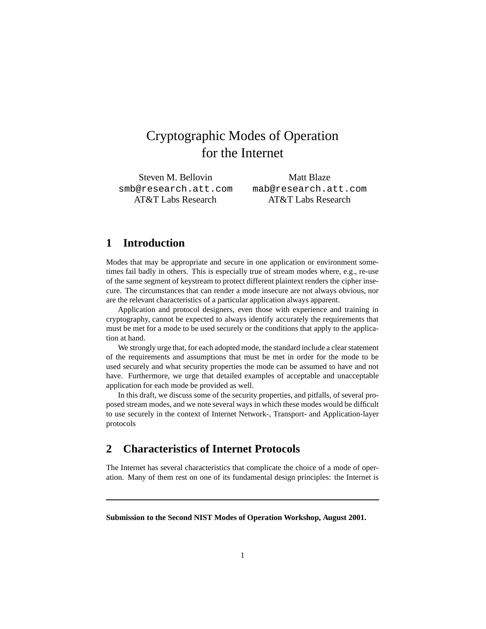# Cryptographic Modes of Operation for the Internet

Steven M. Bellovin smb@research.att.com AT&T Labs Research

Matt Blaze mab@research.att.com AT&T Labs Research

## **1 Introduction**

Modes that may be appropriate and secure in one application or environment sometimes fail badly in others. This is especially true of stream modes where, e.g., re-use of the same segment of keystream to protect different plaintext renders the cipher insecure. The circumstances that can render a mode insecure are not always obvious, nor are the relevant characteristics of a particular application always apparent.

Application and protocol designers, even those with experience and training in cryptography, cannot be expected to always identify accurately the requirements that must be met for a mode to be used securely or the conditions that apply to the application at hand.

We strongly urge that, for each adopted mode, the standard include a clear statement of the requirements and assumptions that must be met in order for the mode to be used securely and what security properties the mode can be assumed to have and not have. Furthermore, we urge that detailed examples of acceptable and unacceptable application for each mode be provided as well.

In this draft, we discuss some of the security properties, and pitfalls, of several proposed stream modes, and we note several ways in which these modes would be difficult to use securely in the context of Internet Network-, Transport- and Application-layer protocols

# **2 Characteristics of Internet Protocols**

The Internet has several characteristics that complicate the choice of a mode of operation. Many of them rest on one of its fundamental design principles: the Internet is

**Submission to the Second NIST Modes of Operation Workshop, August 2001.**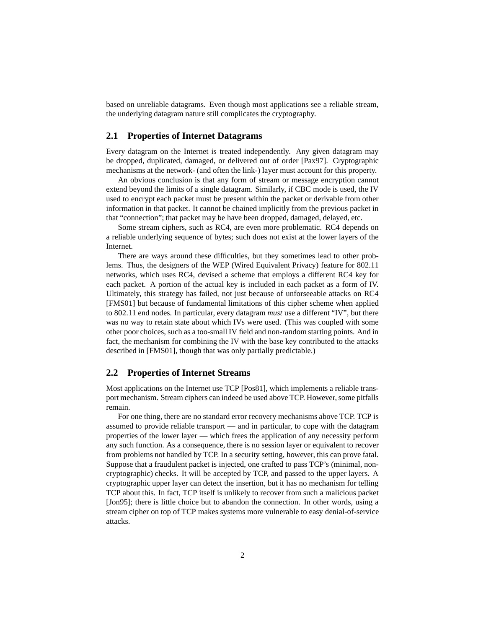based on unreliable datagrams. Even though most applications see a reliable stream, the underlying datagram nature still complicates the cryptography.

#### **2.1 Properties of Internet Datagrams**

Every datagram on the Internet is treated independently. Any given datagram may be dropped, duplicated, damaged, or delivered out of order [Pax97]. Cryptographic mechanisms at the network- (and often the link-) layer must account for this property.

An obvious conclusion is that any form of stream or message encryption cannot extend beyond the limits of a single datagram. Similarly, if CBC mode is used, the IV used to encrypt each packet must be present within the packet or derivable from other information in that packet. It cannot be chained implicitly from the previous packet in that "connection"; that packet may be have been dropped, damaged, delayed, etc.

Some stream ciphers, such as RC4, are even more problematic. RC4 depends on a reliable underlying sequence of bytes; such does not exist at the lower layers of the Internet.

There are ways around these difficulties, but they sometimes lead to other problems. Thus, the designers of the WEP (Wired Equivalent Privacy) feature for 802.11 networks, which uses RC4, devised a scheme that employs a different RC4 key for each packet. A portion of the actual key is included in each packet as a form of IV. Ultimately, this strategy has failed, not just because of unforseeable attacks on RC4 [FMS01] but because of fundamental limitations of this cipher scheme when applied to 802.11 end nodes. In particular, every datagram *must* use a different "IV", but there was no way to retain state about which IVs were used. (This was coupled with some other poor choices, such as a too-small IV field and non-random starting points. And in fact, the mechanism for combining the IV with the base key contributed to the attacks described in [FMS01], though that was only partially predictable.)

#### **2.2 Properties of Internet Streams**

Most applications on the Internet use TCP [Pos81], which implements a reliable transport mechanism. Stream ciphers can indeed be used above TCP. However, some pitfalls remain.

For one thing, there are no standard error recovery mechanisms above TCP. TCP is assumed to provide reliable transport — and in particular, to cope with the datagram properties of the lower layer — which frees the application of any necessity perform any such function. As a consequence, there is no session layer or equivalent to recover from problems not handled by TCP. In a security setting, however, this can prove fatal. Suppose that a fraudulent packet is injected, one crafted to pass TCP's (minimal, noncryptographic) checks. It will be accepted by TCP, and passed to the upper layers. A cryptographic upper layer can detect the insertion, but it has no mechanism for telling TCP about this. In fact, TCP itself is unlikely to recover from such a malicious packet [Jon95]; there is little choice but to abandon the connection. In other words, using a stream cipher on top of TCP makes systems more vulnerable to easy denial-of-service attacks.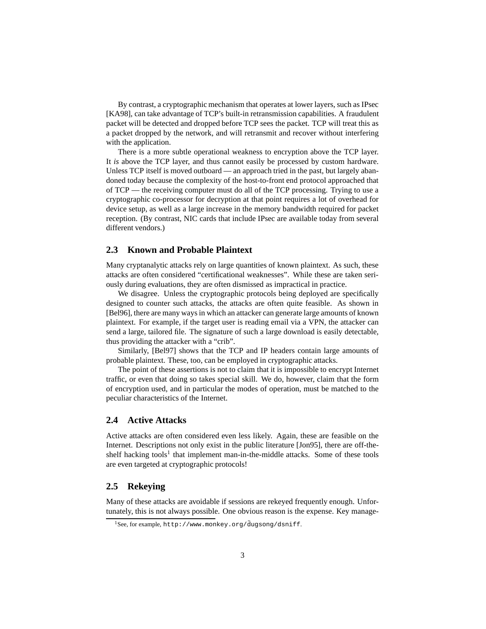By contrast, a cryptographic mechanism that operates at lower layers, such as IPsec [KA98], can take advantage of TCP's built-in retransmission capabilities. A fraudulent packet will be detected and dropped before TCP sees the packet. TCP will treat this as a packet dropped by the network, and will retransmit and recover without interfering with the application.

There is a more subtle operational weakness to encryption above the TCP layer. It *is* above the TCP layer, and thus cannot easily be processed by custom hardware. Unless TCP itself is moved outboard — an approach tried in the past, but largely abandoned today because the complexity of the host-to-front end protocol approached that of TCP — the receiving computer must do all of the TCP processing. Trying to use a cryptographic co-processor for decryption at that point requires a lot of overhead for device setup, as well as a large increase in the memory bandwidth required for packet reception. (By contrast, NIC cards that include IPsec are available today from several different vendors.)

#### **2.3 Known and Probable Plaintext**

Many cryptanalytic attacks rely on large quantities of known plaintext. As such, these attacks are often considered "certificational weaknesses". While these are taken seriously during evaluations, they are often dismissed as impractical in practice.

We disagree. Unless the cryptographic protocols being deployed are specifically designed to counter such attacks, the attacks are often quite feasible. As shown in [Bel96], there are many ways in which an attacker can generate large amounts of known plaintext. For example, if the target user is reading email via a VPN, the attacker can send a large, tailored file. The signature of such a large download is easily detectable, thus providing the attacker with a "crib".

Similarly, [Bel97] shows that the TCP and IP headers contain large amounts of probable plaintext. These, too, can be employed in cryptographic attacks.

The point of these assertions is not to claim that it is impossible to encrypt Internet traffic, or even that doing so takes special skill. We do, however, claim that the form of encryption used, and in particular the modes of operation, must be matched to the peculiar characteristics of the Internet.

#### **2.4 Active Attacks**

Active attacks are often considered even less likely. Again, these are feasible on the Internet. Descriptions not only exist in the public literature [Jon95], there are off-theshelf hacking tools<sup>1</sup> that implement man-in-the-middle attacks. Some of these tools are even targeted at cryptographic protocols!

#### **2.5 Rekeying**

Many of these attacks are avoidable if sessions are rekeyed frequently enough. Unfortunately, this is not always possible. One obvious reason is the expense. Key manage-

 $1$ See, for example, http://www.monkey.org/ $\tilde{d}$ ugsong/dsniff.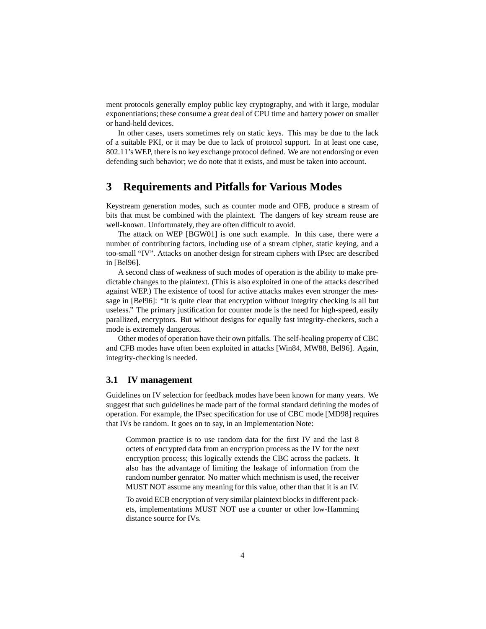ment protocols generally employ public key cryptography, and with it large, modular exponentiations; these consume a great deal of CPU time and battery power on smaller or hand-held devices.

In other cases, users sometimes rely on static keys. This may be due to the lack of a suitable PKI, or it may be due to lack of protocol support. In at least one case, 802.11's WEP, there is no key exchange protocol defined. We are not endorsing or even defending such behavior; we do note that it exists, and must be taken into account.

# **3 Requirements and Pitfalls for Various Modes**

Keystream generation modes, such as counter mode and OFB, produce a stream of bits that must be combined with the plaintext. The dangers of key stream reuse are well-known. Unfortunately, they are often difficult to avoid.

The attack on WEP [BGW01] is one such example. In this case, there were a number of contributing factors, including use of a stream cipher, static keying, and a too-small "IV". Attacks on another design for stream ciphers with IPsec are described in [Bel96].

A second class of weakness of such modes of operation is the ability to make predictable changes to the plaintext. (This is also exploited in one of the attacks described against WEP.) The existence of toosl for active attacks makes even stronger the message in [Bel96]: "It is quite clear that encryption without integrity checking is all but useless." The primary justification for counter mode is the need for high-speed, easily parallized, encryptors. But without designs for equally fast integrity-checkers, such a mode is extremely dangerous.

Other modes of operation have their own pitfalls. The self-healing property of CBC and CFB modes have often been exploited in attacks [Win84, MW88, Bel96]. Again, integrity-checking is needed.

#### **3.1 IV management**

Guidelines on IV selection for feedback modes have been known for many years. We suggest that such guidelines be made part of the formal standard defining the modes of operation. For example, the IPsec specification for use of CBC mode [MD98] requires that IVs be random. It goes on to say, in an Implementation Note:

Common practice is to use random data for the first IV and the last 8 octets of encrypted data from an encryption process as the IV for the next encryption process; this logically extends the CBC across the packets. It also has the advantage of limiting the leakage of information from the random number genrator. No matter which mechnism is used, the receiver MUST NOT assume any meaning for this value, other than that it is an IV.

To avoid ECB encryption of very similar plaintext blocks in different packets, implementations MUST NOT use a counter or other low-Hamming distance source for IVs.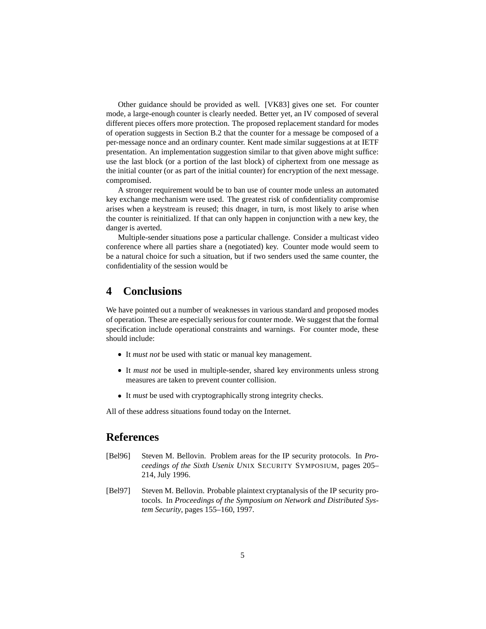Other guidance should be provided as well. [VK83] gives one set. For counter mode, a large-enough counter is clearly needed. Better yet, an IV composed of several different pieces offers more protection. The proposed replacement standard for modes of operation suggests in Section B.2 that the counter for a message be composed of a per-message nonce and an ordinary counter. Kent made similar suggestions at at IETF presentation. An implementation suggestion similar to that given above might suffice: use the last block (or a portion of the last block) of ciphertext from one message as the initial counter (or as part of the initial counter) for encryption of the next message. compromised.

A stronger requirement would be to ban use of counter mode unless an automated key exchange mechanism were used. The greatest risk of confidentiality compromise arises when a keystream is reused; this dnager, in turn, is most likely to arise when the counter is reinitialized. If that can only happen in conjunction with a new key, the danger is averted.

Multiple-sender situations pose a particular challenge. Consider a multicast video conference where all parties share a (negotiated) key. Counter mode would seem to be a natural choice for such a situation, but if two senders used the same counter, the confidentiality of the session would be

### **4 Conclusions**

We have pointed out a number of weaknesses in various standard and proposed modes of operation. These are especially serious for counter mode. We suggest that the formal specification include operational constraints and warnings. For counter mode, these should include:

- It *must not* be used with static or manual key management.
- It *must not* be used in multiple-sender, shared key environments unless strong measures are taken to prevent counter collision.
- It *must* be used with cryptographically strong integrity checks.

All of these address situations found today on the Internet.

# **References**

- [Bel96] Steven M. Bellovin. Problem areas for the IP security protocols. In *Proceedings of the Sixth Usenix U*NIX SECURITY SYMPOSIUM, pages 205– 214, July 1996.
- [Bel97] Steven M. Bellovin. Probable plaintext cryptanalysis of the IP security protocols. In *Proceedings of the Symposium on Network and Distributed System Security*, pages 155–160, 1997.